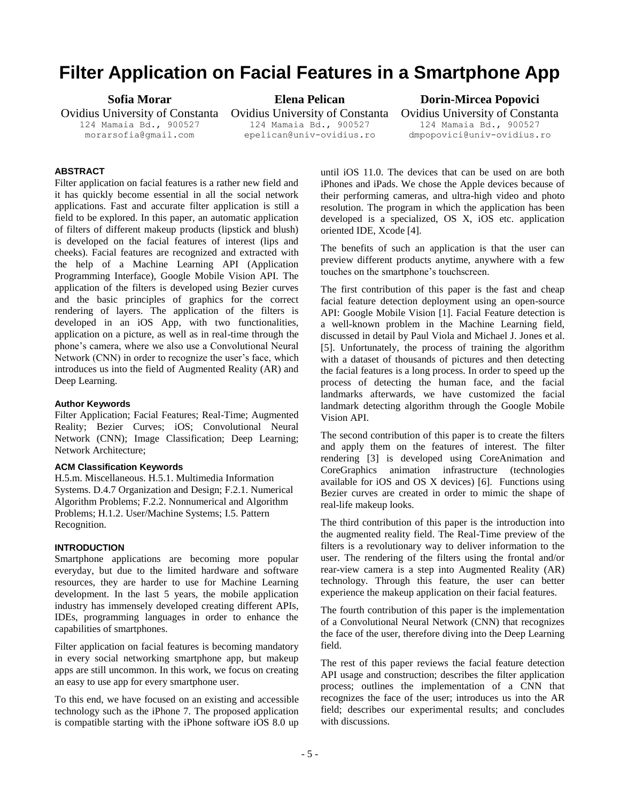# **Filter Application on Facial Features in a Smartphone App**

**Sofia Morar** 

Ovidius University of Constanta 124 Mamaia Bd., 900527 morarsofia@gmail.com

**Elena Pelican**

Ovidius University of Constanta 124 Mamaia Bd., 900527 epelican@univ-ovidius.ro

**Dorin-Mircea Popovici** 

Ovidius University of Constanta 124 Mamaia Bd., 900527 dmpopovici@univ-ovidius.ro

## **ABSTRACT**

Filter application on facial features is a rather new field and it has quickly become essential in all the social network applications. Fast and accurate filter application is still a field to be explored. In this paper, an automatic application of filters of different makeup products (lipstick and blush) is developed on the facial features of interest (lips and cheeks). Facial features are recognized and extracted with the help of a Machine Learning API (Application Programming Interface), Google Mobile Vision API. The application of the filters is developed using Bezier curves and the basic principles of graphics for the correct rendering of layers. The application of the filters is developed in an iOS App, with two functionalities, application on a picture, as well as in real-time through the phone's camera, where we also use a Convolutional Neural Network (CNN) in order to recognize the user's face, which introduces us into the field of Augmented Reality (AR) and Deep Learning.

#### **Author Keywords**

Filter Application; Facial Features; Real-Time; Augmented Reality; Bezier Curves; iOS; Convolutional Neural Network (CNN); Image Classification; Deep Learning; Network Architecture;

#### **ACM Classification Keywords**

H.5.m. Miscellaneous. H.5.1. Multimedia Information Systems. D.4.7 Organization and Design; F.2.1. Numerical Algorithm Problems; F.2.2. Nonnumerical and Algorithm Problems; H.1.2. User/Machine Systems; I.5. Pattern Recognition.

## **INTRODUCTION**

Smartphone applications are becoming more popular everyday, but due to the limited hardware and software resources, they are harder to use for Machine Learning development. In the last 5 years, the mobile application industry has immensely developed creating different APIs, IDEs, programming languages in order to enhance the capabilities of smartphones.

Filter application on facial features is becoming mandatory in every social networking smartphone app, but makeup apps are still uncommon. In this work, we focus on creating an easy to use app for every smartphone user.

To this end, we have focused on an existing and accessible technology such as the iPhone 7. The proposed application is compatible starting with the iPhone software iOS 8.0 up until iOS 11.0. The devices that can be used on are both iPhones and iPads. We chose the Apple devices because of their performing cameras, and ultra-high video and photo resolution. The program in which the application has been developed is a specialized, OS X, iOS etc. application oriented IDE, Xcode [4].

The benefits of such an application is that the user can preview different products anytime, anywhere with a few touches on the smartphone's touchscreen.

The first contribution of this paper is the fast and cheap facial feature detection deployment using an open-source API: Google Mobile Vision [1]. Facial Feature detection is a well-known problem in the Machine Learning field, discussed in detail by Paul Viola and Michael J. Jones et al. [5]. Unfortunately, the process of training the algorithm with a dataset of thousands of pictures and then detecting the facial features is a long process. In order to speed up the process of detecting the human face, and the facial landmarks afterwards, we have customized the facial landmark detecting algorithm through the Google Mobile Vision API.

The second contribution of this paper is to create the filters and apply them on the features of interest. The filter rendering [3] is developed using CoreAnimation and CoreGraphics animation infrastructure (technologies available for iOS and OS X devices) [6]. Functions using Bezier curves are created in order to mimic the shape of real-life makeup looks.

The third contribution of this paper is the introduction into the augmented reality field. The Real-Time preview of the filters is a revolutionary way to deliver information to the user. The rendering of the filters using the frontal and/or rear-view camera is a step into Augmented Reality (AR) technology. Through this feature, the user can better experience the makeup application on their facial features.

The fourth contribution of this paper is the implementation of a Convolutional Neural Network (CNN) that recognizes the face of the user, therefore diving into the Deep Learning field.

The rest of this paper reviews the facial feature detection API usage and construction; describes the filter application process; outlines the implementation of a CNN that recognizes the face of the user; introduces us into the AR field; describes our experimental results; and concludes with discussions.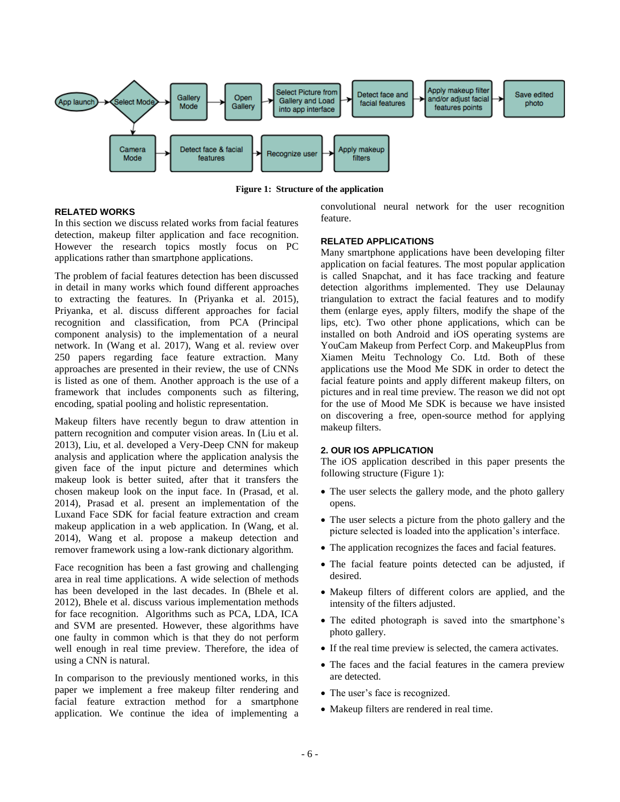

**Figure 1: Structure of the application**

## **RELATED WORKS**

In this section we discuss related works from facial features detection, makeup filter application and face recognition. However the research topics mostly focus on PC applications rather than smartphone applications.

The problem of facial features detection has been discussed in detail in many works which found different approaches to extracting the features. In (Priyanka et al. 2015), Priyanka, et al. discuss different approaches for facial recognition and classification, from PCA (Principal component analysis) to the implementation of a neural network. In (Wang et al. 2017), Wang et al. review over 250 papers regarding face feature extraction. Many approaches are presented in their review, the use of CNNs is listed as one of them. Another approach is the use of a framework that includes components such as filtering, encoding, spatial pooling and holistic representation.

Makeup filters have recently begun to draw attention in pattern recognition and computer vision areas. In (Liu et al. 2013), Liu, et al. developed a Very-Deep CNN for makeup analysis and application where the application analysis the given face of the input picture and determines which makeup look is better suited, after that it transfers the chosen makeup look on the input face. In (Prasad, et al. 2014), Prasad et al. present an implementation of the Luxand Face SDK for facial feature extraction and cream makeup application in a web application. In (Wang, et al. 2014), Wang et al. propose a makeup detection and remover framework using a low-rank dictionary algorithm.

Face recognition has been a fast growing and challenging area in real time applications. A wide selection of methods has been developed in the last decades. In (Bhele et al. 2012), Bhele et al. discuss various implementation methods for face recognition. Algorithms such as PCA, LDA, ICA and SVM are presented. However, these algorithms have one faulty in common which is that they do not perform well enough in real time preview. Therefore, the idea of using a CNN is natural.

In comparison to the previously mentioned works, in this paper we implement a free makeup filter rendering and facial feature extraction method for a smartphone application. We continue the idea of implementing a convolutional neural network for the user recognition feature.

## **RELATED APPLICATIONS**

Many smartphone applications have been developing filter application on facial features. The most popular application is called Snapchat, and it has face tracking and feature detection algorithms implemented. They use Delaunay triangulation to extract the facial features and to modify them (enlarge eyes, apply filters, modify the shape of the lips, etc). Two other phone applications, which can be installed on both Android and iOS operating systems are YouCam Makeup from Perfect Corp. and MakeupPlus from Xiamen Meitu Technology Co. Ltd. Both of these applications use the Mood Me SDK in order to detect the facial feature points and apply different makeup filters, on pictures and in real time preview. The reason we did not opt for the use of Mood Me SDK is because we have insisted on discovering a free, open-source method for applying makeup filters.

#### **2. OUR IOS APPLICATION**

The iOS application described in this paper presents the following structure (Figure 1):

- The user selects the gallery mode, and the photo gallery opens.
- The user selects a picture from the photo gallery and the picture selected is loaded into the application's interface.
- The application recognizes the faces and facial features.
- The facial feature points detected can be adjusted, if desired.
- Makeup filters of different colors are applied, and the intensity of the filters adjusted.
- The edited photograph is saved into the smartphone's photo gallery.
- If the real time preview is selected, the camera activates.
- The faces and the facial features in the camera preview are detected.
- The user's face is recognized.
- Makeup filters are rendered in real time.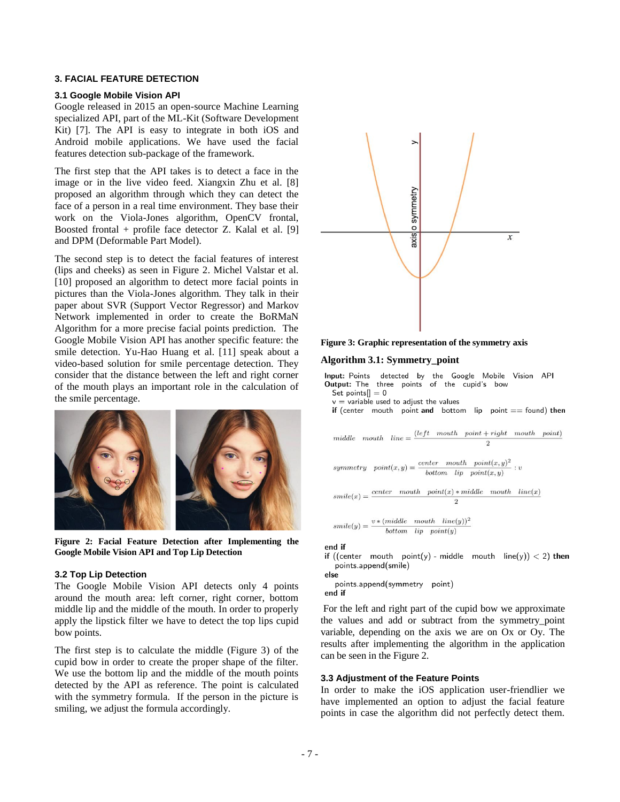## **3. FACIAL FEATURE DETECTION**

#### **3.1 Google Mobile Vision API**

Google released in 2015 an open-source Machine Learning specialized API, part of the ML-Kit (Software Development Kit) [7]. The API is easy to integrate in both iOS and Android mobile applications. We have used the facial features detection sub-package of the framework.

The first step that the API takes is to detect a face in the image or in the live video feed. Xiangxin Zhu et al. [8] proposed an algorithm through which they can detect the face of a person in a real time environment. They base their work on the Viola-Jones algorithm, OpenCV frontal, Boosted frontal + profile face detector Z. Kalal et al. [9] and DPM (Deformable Part Model).

The second step is to detect the facial features of interest (lips and cheeks) as seen in Figure 2. Michel Valstar et al. [10] proposed an algorithm to detect more facial points in pictures than the Viola-Jones algorithm. They talk in their paper about SVR (Support Vector Regressor) and Markov Network implemented in order to create the BoRMaN Algorithm for a more precise facial points prediction. The Google Mobile Vision API has another specific feature: the smile detection. Yu-Hao Huang et al. [11] speak about a video-based solution for smile percentage detection. They consider that the distance between the left and right corner of the mouth plays an important role in the calculation of the smile percentage.



**Figure 2: Facial Feature Detection after Implementing the Google Mobile Vision API and Top Lip Detection**

#### **3.2 Top Lip Detection**

The Google Mobile Vision API detects only 4 points around the mouth area: left corner, right corner, bottom middle lip and the middle of the mouth. In order to properly apply the lipstick filter we have to detect the top lips cupid bow points.

The first step is to calculate the middle (Figure 3) of the cupid bow in order to create the proper shape of the filter. We use the bottom lip and the middle of the mouth points detected by the API as reference. The point is calculated with the symmetry formula. If the person in the picture is smiling, we adjust the formula accordingly.



**Figure 3: Graphic representation of the symmetry axis**

#### **Algorithm 3.1: Symmetry\_point**

Input: Points detected by the Google Mobile Vision API Output: The three points of the cupid's bow Set points $\vert \vert = 0$  $v = \text{variable}$  used to adjust the values if (center mouth point and bottom lip point  $==$  found) then middle mouth  $line = \frac{(left \mod h \text{ point} + right \mod h \text{ point})}{2}$  $\mathcal{D}$ 

symmetry  $point(x, y) = \frac{center \; mouth \; point(x, y)^2}{l\; pattern \; lin \; point(x, y)}$ : bottom  $lip$  point $(x, y)$ 

```
center mouth point(x) * middle mouth line(x)smile(x) =\overline{2}
```
 $smile(y) = \frac{v * (middle \quad mouth \quad line(y))^2}{bottom \quad lin \quad point(y)}$  $bottom$   $lip$   $point(y)$ 

#### end if

if ((center mouth point(y) - middle mouth  $line(y) < 2$ ) then points.append(smile)

else points.append(symmetry point) end if

For the left and right part of the cupid bow we approximate the values and add or subtract from the symmetry\_point variable, depending on the axis we are on Ox or Oy. The results after implementing the algorithm in the application can be seen in the Figure 2.

#### **3.3 Adjustment of the Feature Points**

In order to make the iOS application user-friendlier we have implemented an option to adjust the facial feature points in case the algorithm did not perfectly detect them.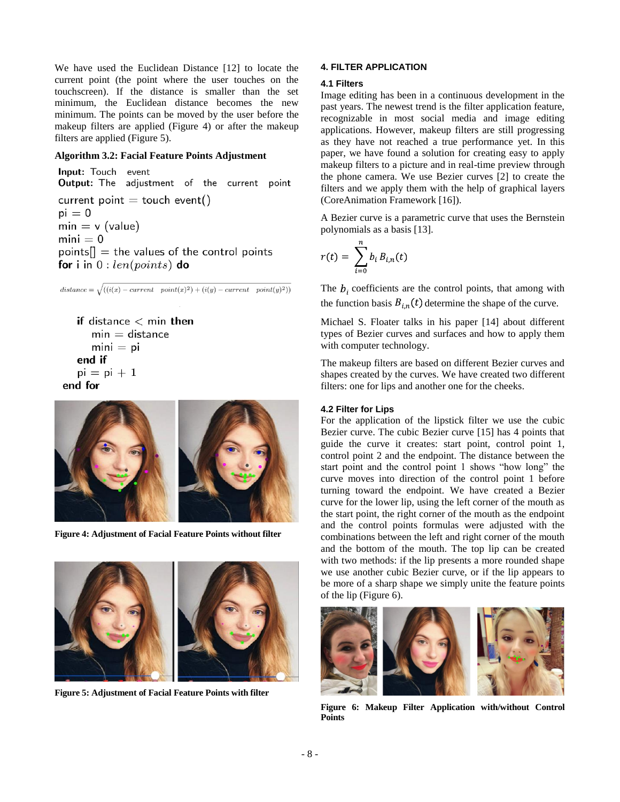We have used the Euclidean Distance [12] to locate the current point (the point where the user touches on the touchscreen). If the distance is smaller than the set minimum, the Euclidean distance becomes the new minimum. The points can be moved by the user before the makeup filters are applied (Figure 4) or after the makeup filters are applied (Figure 5).

## **Algorithm 3.2: Facial Feature Points Adjustment**

Input: Touch event Output: The adjustment of the current point current point  $=$  touch event()  $pi = 0$  $min = v$  (value)  $mini = 0$  $points[] = the values of the control points$ for i in  $0: len(points)$  do

 $distance = \sqrt{((i(x) - current \ point(x)^2) + (i(y) - current \ point(y)^2))}$ 

if distance  $<$  min then  $min = distance$  $min = pi$ end if  $pi = pi + 1$ end for



**Figure 4: Adjustment of Facial Feature Points without filter**



**Figure 5: Adjustment of Facial Feature Points with filter**

## **4. FILTER APPLICATION**

## **4.1 Filters**

Image editing has been in a continuous development in the past years. The newest trend is the filter application feature, recognizable in most social media and image editing applications. However, makeup filters are still progressing as they have not reached a true performance yet. In this paper, we have found a solution for creating easy to apply makeup filters to a picture and in real-time preview through the phone camera. We use Bezier curves [2] to create the filters and we apply them with the help of graphical layers (CoreAnimation Framework [16]).

A Bezier curve is a parametric curve that uses the Bernstein polynomials as a basis [13].

$$
r(t) = \sum_{i=0}^{n} b_i B_{i,n}(t)
$$

The  $b_i$  coefficients are the control points, that among with the function basis  $B_{i,n}(t)$  determine the shape of the curve.

Michael S. Floater talks in his paper [14] about different types of Bezier curves and surfaces and how to apply them with computer technology.

The makeup filters are based on different Bezier curves and shapes created by the curves. We have created two different filters: one for lips and another one for the cheeks.

## **4.2 Filter for Lips**

For the application of the lipstick filter we use the cubic Bezier curve. The cubic Bezier curve [15] has 4 points that guide the curve it creates: start point, control point 1, control point 2 and the endpoint. The distance between the start point and the control point 1 shows "how long" the curve moves into direction of the control point 1 before turning toward the endpoint. We have created a Bezier curve for the lower lip, using the left corner of the mouth as the start point, the right corner of the mouth as the endpoint and the control points formulas were adjusted with the combinations between the left and right corner of the mouth and the bottom of the mouth. The top lip can be created with two methods: if the lip presents a more rounded shape we use another cubic Bezier curve, or if the lip appears to be more of a sharp shape we simply unite the feature points of the lip (Figure 6).



**Figure 6: Makeup Filter Application with/without Control Points**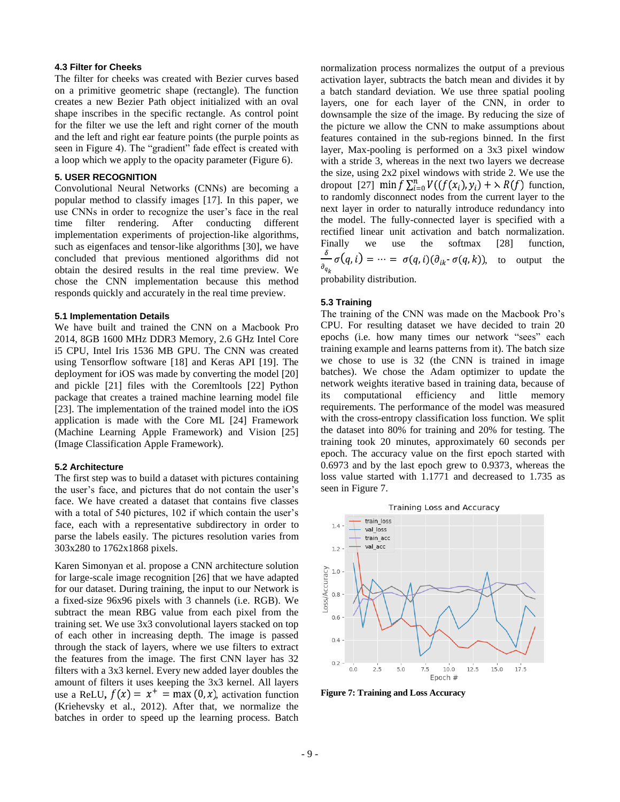#### **4.3 Filter for Cheeks**

The filter for cheeks was created with Bezier curves based on a primitive geometric shape (rectangle). The function creates a new Bezier Path object initialized with an oval shape inscribes in the specific rectangle. As control point for the filter we use the left and right corner of the mouth and the left and right ear feature points (the purple points as seen in Figure 4). The "gradient" fade effect is created with a loop which we apply to the opacity parameter (Figure 6).

#### **5. USER RECOGNITION**

Convolutional Neural Networks (CNNs) are becoming a popular method to classify images [17]. In this paper, we use CNNs in order to recognize the user's face in the real time filter rendering. After conducting different implementation experiments of projection-like algorithms, such as eigenfaces and tensor-like algorithms [30], we have concluded that previous mentioned algorithms did not obtain the desired results in the real time preview. We chose the CNN implementation because this method responds quickly and accurately in the real time preview.

#### **5.1 Implementation Details**

We have built and trained the CNN on a Macbook Pro 2014, 8GB 1600 MHz DDR3 Memory, 2.6 GHz Intel Core i5 CPU, Intel Iris 1536 MB GPU. The CNN was created using Tensorflow software [18] and Keras API [19]. The deployment for iOS was made by converting the model [20] and pickle [21] files with the Coremltools [22] Python package that creates a trained machine learning model file [23]. The implementation of the trained model into the iOS application is made with the Core ML [24] Framework (Machine Learning Apple Framework) and Vision [25] (Image Classification Apple Framework).

#### **5.2 Architecture**

The first step was to build a dataset with pictures containing the user's face, and pictures that do not contain the user's face. We have created a dataset that contains five classes with a total of 540 pictures, 102 if which contain the user's face, each with a representative subdirectory in order to parse the labels easily. The pictures resolution varies from 303x280 to 1762x1868 pixels.

Karen Simonyan et al. propose a CNN architecture solution for large-scale image recognition [26] that we have adapted for our dataset. During training, the input to our Network is a fixed-size 96x96 pixels with 3 channels (i.e. RGB). We subtract the mean RBG value from each pixel from the training set. We use 3x3 convolutional layers stacked on top of each other in increasing depth. The image is passed through the stack of layers, where we use filters to extract the features from the image. The first CNN layer has 32 filters with a 3x3 kernel. Every new added layer doubles the amount of filters it uses keeping the 3x3 kernel. All layers use a ReLU,  $f(x) = x^+ = \max(0, x)$ , activation function (Kriehevsky et al., 2012). After that, we normalize the batches in order to speed up the learning process. Batch

normalization process normalizes the output of a previous activation layer, subtracts the batch mean and divides it by a batch standard deviation. We use three spatial pooling layers, one for each layer of the CNN, in order to downsample the size of the image. By reducing the size of the picture we allow the CNN to make assumptions about features contained in the sub-regions binned. In the first layer, Max-pooling is performed on a 3x3 pixel window with a stride 3, whereas in the next two layers we decrease the size, using 2x2 pixel windows with stride 2. We use the dropout [27]  $\min f \sum_{i=0}^{n} V(f(x_i), y_i) + \lambda R(f)$  function, to randomly disconnect nodes from the current layer to the next layer in order to naturally introduce redundancy into the model. The fully-connected layer is specified with a rectified linear unit activation and batch normalization. Finally we use the softmax [28] function,  $\frac{\delta}{\delta} \sigma(q, i) = \dots = \sigma(q, i) (\partial_{ik} \sigma(q, k))$ , to output the probability distribution.

#### **5.3 Training**

The training of the CNN was made on the Macbook Pro's CPU. For resulting dataset we have decided to train 20 epochs (i.e. how many times our network "sees" each training example and learns patterns from it). The batch size we chose to use is 32 (the CNN is trained in image batches). We chose the Adam optimizer to update the network weights iterative based in training data, because of its computational efficiency and little memory requirements. The performance of the model was measured with the cross-entropy classification loss function. We split the dataset into 80% for training and 20% for testing. The training took 20 minutes, approximately 60 seconds per epoch. The accuracy value on the first epoch started with 0.6973 and by the last epoch grew to 0.9373, whereas the loss value started with 1.1771 and decreased to 1.735 as seen in Figure 7.



 $10.0$ 

 $Enoch$ #

 $7.5$ 

 $12.5$ 

 $15.0$ 

 $17.5$ 

**Figure 7: Training and Loss Accuracy** 

 $5.0$ 

 $2.5$ 

 $0.2$  $0.0$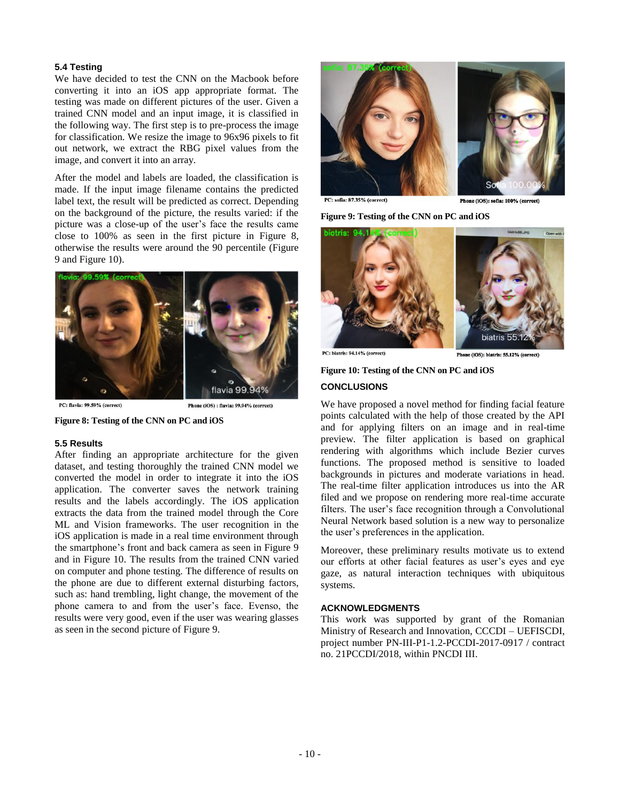## **5.4 Testing**

We have decided to test the CNN on the Macbook before converting it into an iOS app appropriate format. The testing was made on different pictures of the user. Given a trained CNN model and an input image, it is classified in the following way. The first step is to pre-process the image for classification. We resize the image to 96x96 pixels to fit out network, we extract the RBG pixel values from the image, and convert it into an array.

After the model and labels are loaded, the classification is made. If the input image filename contains the predicted label text, the result will be predicted as correct. Depending on the background of the picture, the results varied: if the picture was a close-up of the user's face the results came close to 100% as seen in the first picture in Figure 8, otherwise the results were around the 90 percentile (Figure 9 and Figure 10).



PC: flavia: 99.59% (correct)

Phone (iOS) : flavia: 99.94% (correct)



#### **5.5 Results**

After finding an appropriate architecture for the given dataset, and testing thoroughly the trained CNN model we converted the model in order to integrate it into the iOS application. The converter saves the network training results and the labels accordingly. The iOS application extracts the data from the trained model through the Core ML and Vision frameworks. The user recognition in the iOS application is made in a real time environment through the smartphone's front and back camera as seen in Figure 9 and in Figure 10. The results from the trained CNN varied on computer and phone testing. The difference of results on the phone are due to different external disturbing factors, such as: hand trembling, light change, the movement of the phone camera to and from the user's face. Evenso, the results were very good, even if the user was wearing glasses as seen in the second picture of Figure 9.



PC: sofia: 87,35% (correct)

Phone (iOS): sofia: 100% (correct)

**Figure 9: Testing of the CNN on PC and iOS**



PC: biatris: 94.14% (correct)

Phone (iOS): biatris: 55.12% (correct)

## **Figure 10: Testing of the CNN on PC and iOS CONCLUSIONS**

We have proposed a novel method for finding facial feature points calculated with the help of those created by the API and for applying filters on an image and in real-time preview. The filter application is based on graphical rendering with algorithms which include Bezier curves functions. The proposed method is sensitive to loaded backgrounds in pictures and moderate variations in head. The real-time filter application introduces us into the AR filed and we propose on rendering more real-time accurate filters. The user's face recognition through a Convolutional Neural Network based solution is a new way to personalize the user's preferences in the application.

Moreover, these preliminary results motivate us to extend our efforts at other facial features as user's eyes and eye gaze, as natural interaction techniques with ubiquitous systems.

## **ACKNOWLEDGMENTS**

This work was supported by grant of the Romanian Ministry of Research and Innovation, CCCDI – UEFISCDI, project number PN-III-P1-1.2-PCCDI-2017-0917 / contract no. 21PCCDI/2018, within PNCDI III.